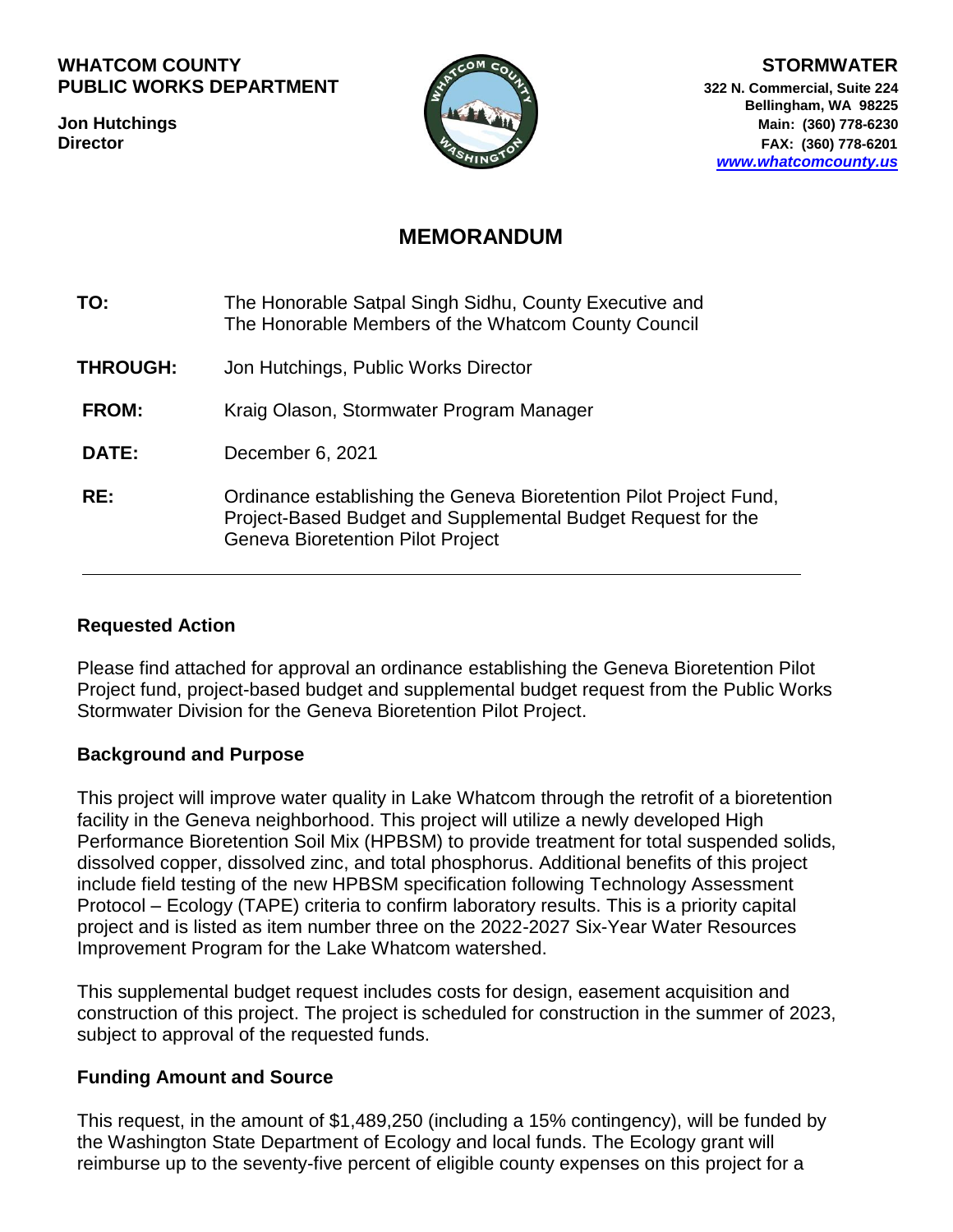#### WHATCOM COUNTY **STORMWATER PUBLIC WORKS DEPARTMENT A** 322 N. Commercial, Suite 224



**Bellingham, WA 98225 Jon Hutchings Main: (360) 778-6230 Director FAX:** (360) 778-6201 *[www.whatcomcounty.us](http://www.whatcomcounty.us/)*

# **MEMORANDUM**

| TO: | The Honorable Satpal Singh Sidhu, County Executive and |
|-----|--------------------------------------------------------|
|     | The Honorable Members of the Whatcom County Council    |

- **THROUGH:** Jon Hutchings, Public Works Director
- **FROM:** Kraig Olason, Stormwater Program Manager
- **DATE:** December 6, 2021
- **RE:** Ordinance establishing the Geneva Bioretention Pilot Project Fund, Project-Based Budget and Supplemental Budget Request for the Geneva Bioretention Pilot Project

## **Requested Action**

Please find attached for approval an ordinance establishing the Geneva Bioretention Pilot Project fund, project-based budget and supplemental budget request from the Public Works Stormwater Division for the Geneva Bioretention Pilot Project.

## **Background and Purpose**

This project will improve water quality in Lake Whatcom through the retrofit of a bioretention facility in the Geneva neighborhood. This project will utilize a newly developed High Performance Bioretention Soil Mix (HPBSM) to provide treatment for total suspended solids, dissolved copper, dissolved zinc, and total phosphorus. Additional benefits of this project include field testing of the new HPBSM specification following Technology Assessment Protocol – Ecology (TAPE) criteria to confirm laboratory results. This is a priority capital project and is listed as item number three on the 2022-2027 Six-Year Water Resources Improvement Program for the Lake Whatcom watershed.

This supplemental budget request includes costs for design, easement acquisition and construction of this project. The project is scheduled for construction in the summer of 2023, subject to approval of the requested funds.

## **Funding Amount and Source**

This request, in the amount of \$1,489,250 (including a 15% contingency), will be funded by the Washington State Department of Ecology and local funds. The Ecology grant will reimburse up to the seventy-five percent of eligible county expenses on this project for a